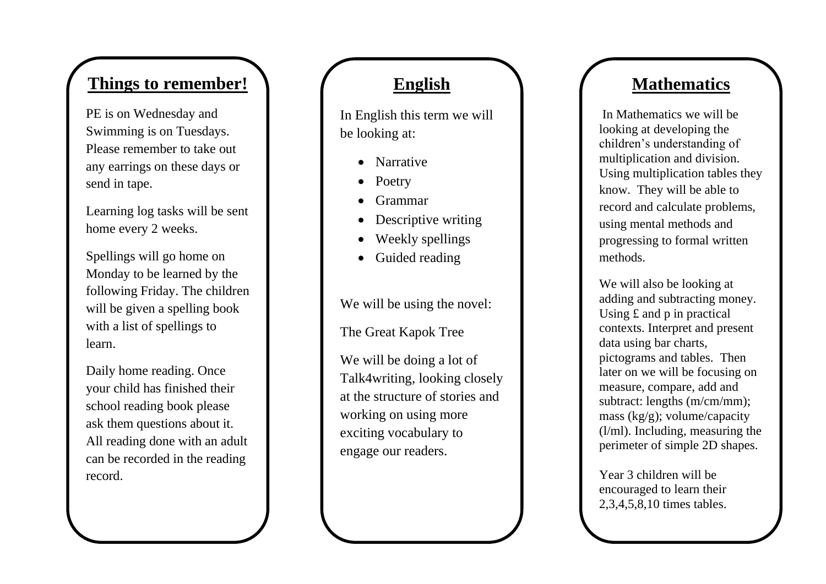## **Things to remember!**

PE is on Wednesday and Swimming is on Tuesdays. Please remember to take out any earrings on these days or send in tape .

Learning log tasks will be sent home every 2 weeks.

Spellings will go home on Monday to be learned by the following Friday. The children will be given a spelling book with a list of spellings to learn.

Daily home reading. Once your child has finished their school reading book please ask them questions about it. All reading done with an adult can be recorded in the reading record.

### **English**

In English this term we will be looking at:

- Narrative
- Poetry
- Grammar
- Descriptive writing
- Weekly spellings
- Guided reading

We will be using the novel:

The Great Kapok Tree

We will be doing a lot of Talk4writing, looking closely at the structure of stories and working on using more exciting vocabulary to engage our readers.

## **Mathematics**

In Mathematics we will be looking at developing the children's understanding of multiplication and division.<br>Using multiplication tables they know. They will be able to record and calculate problems, using mental methods and progressing to formal written methods.

We will also be looking at adding and subtracting money. Using £ and p in practical contexts. Interpret and present data using bar charts, pictograms and tables. Then later on we will be focusing on measure, compare, add and subtract: lengths (m/cm/mm); mass (kg/g); volume/capacity (l/ml). Including, measuring the perimeter of simple 2D shapes.

Year 3 children will be encouraged to learn their 2,3,4,5,8,10 times tables .